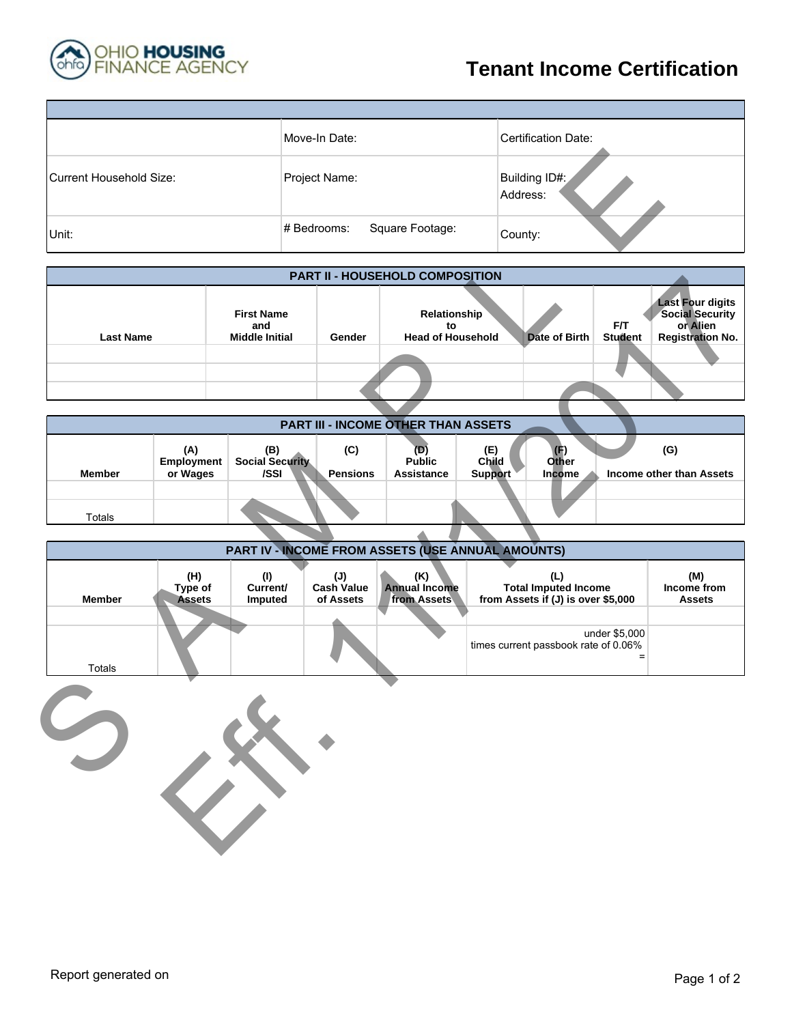

## **Tenant Income Certification**

|                         | Move-In Date:                  | <b>Certification Date:</b> |
|-------------------------|--------------------------------|----------------------------|
| Current Household Size: | Project Name:                  | Building ID#:<br>Address:  |
| Unit:                   | Square Footage:<br># Bedrooms: | County:                    |

| <b>Current Household Size:</b> |                                 |                                                   | Project Name:                         |                                                   |                                | Building ID#:<br>Address:                                                |                       |                                                                                          |
|--------------------------------|---------------------------------|---------------------------------------------------|---------------------------------------|---------------------------------------------------|--------------------------------|--------------------------------------------------------------------------|-----------------------|------------------------------------------------------------------------------------------|
| Unit:                          |                                 |                                                   | # Bedrooms:                           | Square Footage:                                   | County:                        |                                                                          |                       |                                                                                          |
|                                |                                 |                                                   |                                       | PART II - HOUSEHOLD COMPOSITION                   |                                |                                                                          |                       |                                                                                          |
| <b>Last Name</b>               |                                 | <b>First Name</b><br>and<br><b>Middle Initial</b> | Gender                                | Relationship<br>to<br><b>Head of Household</b>    |                                | <b>Date of Birth</b>                                                     | F/T<br><b>Student</b> | <b>Last Four digits</b><br><b>Social Security</b><br>or Alien<br><b>Registration No.</b> |
|                                |                                 |                                                   |                                       |                                                   |                                |                                                                          |                       |                                                                                          |
|                                |                                 |                                                   |                                       | PART III - INCOME OTHER THAN ASSETS               |                                |                                                                          |                       |                                                                                          |
| <b>Member</b><br><b>Totals</b> | (A)<br>Employment<br>or Wages   | (B)<br>Social Security<br>/SSI                    | (C)<br><b>Pensions</b>                | $(D)$<br>Public<br><b>Assistance</b>              | (E)<br>Child<br><b>Support</b> | (F)<br><b>Other</b><br>Income                                            |                       | (G)<br>Income other than Assets                                                          |
|                                |                                 |                                                   |                                       |                                                   |                                |                                                                          |                       |                                                                                          |
|                                |                                 |                                                   |                                       | PART IV - INCOME FROM ASSETS (USE ANNUAL AMOUNTS) |                                |                                                                          |                       |                                                                                          |
| <b>Member</b>                  | (H)<br>Type of<br><b>Assets</b> | (1)<br>Current/<br>Imputed                        | (J)<br><b>Cash Value</b><br>of Assets | (K)<br><b>Annual Income</b><br>from Assets        |                                | (L)<br><b>Total Imputed Income</b><br>from Assets if (J) is over \$5,000 |                       | (M)<br>Income from<br><b>Assets</b>                                                      |
| <b>Totals</b>                  |                                 |                                                   |                                       |                                                   |                                | times current passbook rate of 0.06%                                     | under \$5,000<br>$=$  |                                                                                          |
|                                |                                 |                                                   |                                       |                                                   |                                |                                                                          |                       |                                                                                          |

|               |                                      |                                       |                        | <b>PART III - INCOME OTHER THAN ASSETS</b> |                                |                      |                                 |
|---------------|--------------------------------------|---------------------------------------|------------------------|--------------------------------------------|--------------------------------|----------------------|---------------------------------|
| <b>Member</b> | (A)<br><b>Employment</b><br>or Wages | (B)<br><b>Social Security</b><br>/SSI | (C)<br><b>Pensions</b> | (D<br><b>Public</b><br><b>Assistance</b>   | (E)<br>Child<br><b>Support</b> | T<br>Other<br>Income | (G)<br>Income other than Assets |
|               |                                      |                                       |                        |                                            |                                |                      |                                 |
| Totals        |                                      |                                       |                        |                                            |                                |                      |                                 |

|                  |                                 |                                                   |                                                  | <b>PART II - HUUSEHULD GUMPUSITIUN</b>         |                |                                                                          |                       |                                                                                          |
|------------------|---------------------------------|---------------------------------------------------|--------------------------------------------------|------------------------------------------------|----------------|--------------------------------------------------------------------------|-----------------------|------------------------------------------------------------------------------------------|
| <b>Last Name</b> |                                 | <b>First Name</b><br>and<br><b>Middle Initial</b> | Gender                                           | Relationship<br>to<br><b>Head of Household</b> |                | <b>Date of Birth</b>                                                     | F/T<br><b>Student</b> | <b>Last Four digits</b><br><b>Social Security</b><br>or Alien<br><b>Registration No.</b> |
|                  |                                 |                                                   |                                                  |                                                |                |                                                                          |                       |                                                                                          |
|                  |                                 |                                                   |                                                  |                                                |                |                                                                          |                       |                                                                                          |
|                  |                                 |                                                   |                                                  |                                                |                |                                                                          |                       |                                                                                          |
|                  |                                 |                                                   |                                                  | PART III - INCOME OTHER THAN ASSETS            |                |                                                                          |                       |                                                                                          |
|                  | (A)<br>Employment               | (B)<br><b>Social Security</b>                     | (C)                                              | $\overline{(D)}$<br><b>Public</b>              | (E)<br>Child   | (F)<br>Other                                                             |                       | (G)                                                                                      |
| <b>Member</b>    | or Wages                        | /SSI                                              | <b>Pensions</b>                                  | <b>Assistance</b>                              | <b>Support</b> | Income                                                                   |                       | Income other than Assets                                                                 |
| Totals           |                                 |                                                   |                                                  |                                                |                |                                                                          |                       |                                                                                          |
|                  |                                 |                                                   |                                                  |                                                |                |                                                                          |                       |                                                                                          |
|                  |                                 | PART IV - INCOME FROM ASSETS (USE ANNUAL AMOUNTS) |                                                  |                                                |                |                                                                          |                       |                                                                                          |
| <b>Member</b>    | (H)<br>Type of<br><b>Assets</b> | (1)<br>Current/<br>Imputed                        | $(\mathsf{U})$<br><b>Cash Value</b><br>of Assets | (K)<br><b>Annual Income</b><br>from Assets     |                | (L)<br><b>Total Imputed Income</b><br>from Assets if (J) is over \$5,000 |                       | (M)<br>Income from<br><b>Assets</b>                                                      |
| <b>Totals</b>    |                                 |                                                   |                                                  |                                                |                | times current passbook rate of 0.06%                                     | under \$5,000         |                                                                                          |
|                  | $\bigvee$                       |                                                   |                                                  |                                                |                |                                                                          |                       |                                                                                          |